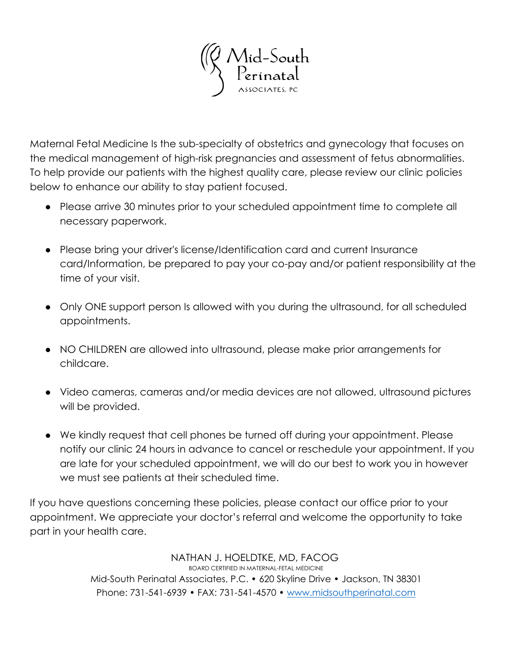Mid-South<br>Perínatal

Maternal Fetal Medicine Is the sub-specialty of obstetrics and gynecology that focuses on the medical management of high-risk pregnancies and assessment of fetus abnormalities. To help provide our patients with the highest quality care, please review our clinic policies below to enhance our ability to stay patient focused.

- Please arrive 30 minutes prior to your scheduled appointment time to complete all necessary paperwork.
- Please bring your driver's license/Identification card and current Insurance card/Information, be prepared to pay your co-pay and/or patient responsibility at the time of your visit.
- Only ONE support person Is allowed with you during the ultrasound, for all scheduled appointments.
- NO CHILDREN are allowed into ultrasound, please make prior arrangements for childcare.
- Video cameras, cameras and/or media devices are not allowed, ultrasound pictures will be provided.
- We kindly request that cell phones be turned off during your appointment. Please notify our clinic 24 hours in advance to cancel or reschedule your appointment. If you are late for your scheduled appointment, we will do our best to work you in however we must see patients at their scheduled time.

If you have questions concerning these policies, please contact our office prior to your appointment. We appreciate your doctor's referral and welcome the opportunity to take part in your health care.

> NATHAN J. HOELDTKE, MD, FACOG BOARD CERTIFIED IN MATERNAL-FETAL MEDICINE Mid-South Perinatal Associates, P.C. • 620 Skyline Drive • Jackson, TN 38301 Phone: 731-541-6939 • FAX: 731-541-4570 • [www.midsouthperinatal.com](http://www.midsouthperinatal.com)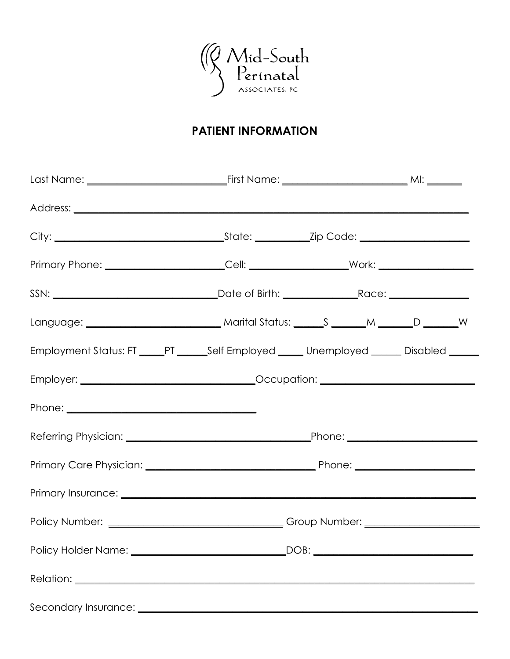

# **PATIENT INFORMATION**

| Primary Phone: ________________________Cell: ______________________Work: __________________________                                                                                                                                  |  |  |
|--------------------------------------------------------------------------------------------------------------------------------------------------------------------------------------------------------------------------------------|--|--|
|                                                                                                                                                                                                                                      |  |  |
|                                                                                                                                                                                                                                      |  |  |
| Employment Status: FT _____PT ______Self Employed _____ Unemployed _____ Disabled _____                                                                                                                                              |  |  |
|                                                                                                                                                                                                                                      |  |  |
|                                                                                                                                                                                                                                      |  |  |
|                                                                                                                                                                                                                                      |  |  |
|                                                                                                                                                                                                                                      |  |  |
|                                                                                                                                                                                                                                      |  |  |
|                                                                                                                                                                                                                                      |  |  |
|                                                                                                                                                                                                                                      |  |  |
|                                                                                                                                                                                                                                      |  |  |
| Secondary Insurance: <u>Contract Contract Contract Contract Contract Contract Contract Contract Contract Contract Contract Contract Contract Contract Contract Contract Contract Contract Contract Contract Contract Contract Co</u> |  |  |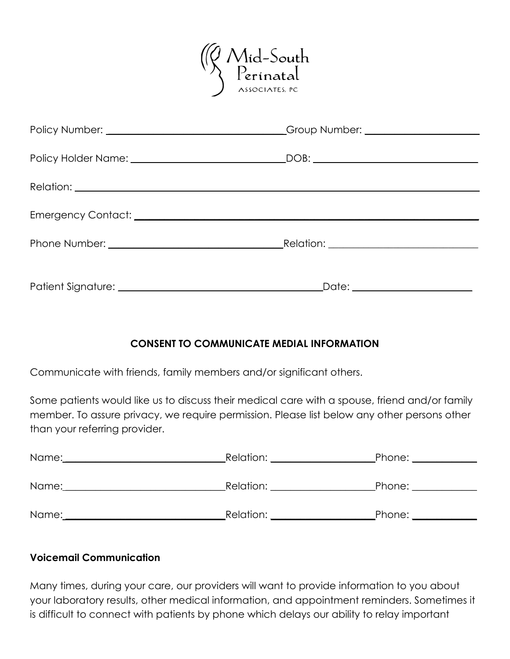

| Policy Holder Name: __________________________________DOB: _____________________ |  |
|----------------------------------------------------------------------------------|--|
|                                                                                  |  |
|                                                                                  |  |
|                                                                                  |  |
|                                                                                  |  |

#### **CONSENT TO COMMUNICATE MEDIAL INFORMATION**

Communicate with friends, family members and/or significant others.

Some patients would like us to discuss their medical care with a spouse, friend and/or family member. To assure privacy, we require permission. Please list below any other persons other than your referring provider.

| Name:                                                                               | Relation:               | Phone:    |
|-------------------------------------------------------------------------------------|-------------------------|-----------|
|                                                                                     |                         |           |
| Name:<br>the control of the control of the control of the control of the control of | _Relation: <sub>-</sub> | _Phone: _ |
|                                                                                     |                         |           |
| Name:                                                                               | Relation:               | Phone:    |
|                                                                                     |                         |           |

#### **Voicemail Communication**

Many times, during your care, our providers will want to provide information to you about your laboratory results, other medical information, and appointment reminders. Sometimes it is difficult to connect with patients by phone which delays our ability to relay important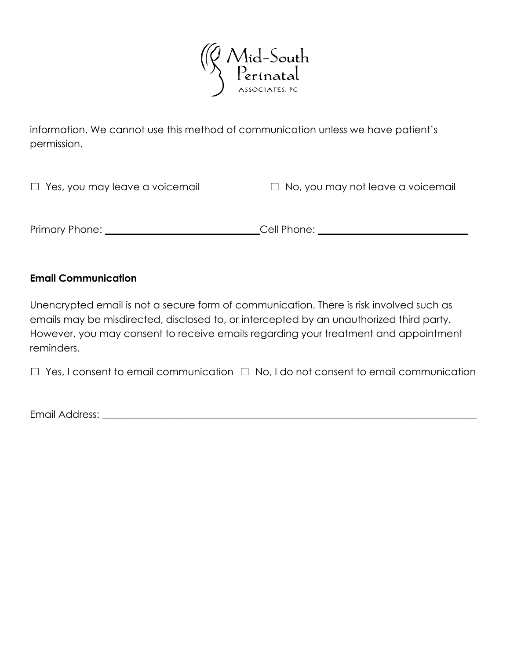

information. We cannot use this method of communication unless we have patient's permission.

| $\Box$ Yes, you may leave a voicemail | $\Box$ No, you may not leave a voicemail |
|---------------------------------------|------------------------------------------|
|                                       |                                          |
| Primary Phone:                        | Cell Phone:                              |
|                                       |                                          |

#### **Email Communication**

Unencrypted email is not a secure form of communication. There is risk involved such as emails may be misdirected, disclosed to, or intercepted by an unauthorized third party. However, you may consent to receive emails regarding your treatment and appointment reminders.

☐ Yes, I consent to email communication ☐ No, I do not consent to email communication

Email Address: \_\_\_\_\_\_\_\_\_\_\_\_\_\_\_\_\_\_\_\_\_\_\_\_\_\_\_\_\_\_\_\_\_\_\_\_\_\_\_\_\_\_\_\_\_\_\_\_\_\_\_\_\_\_\_\_\_\_\_\_\_\_\_\_\_\_\_\_\_\_\_\_\_\_\_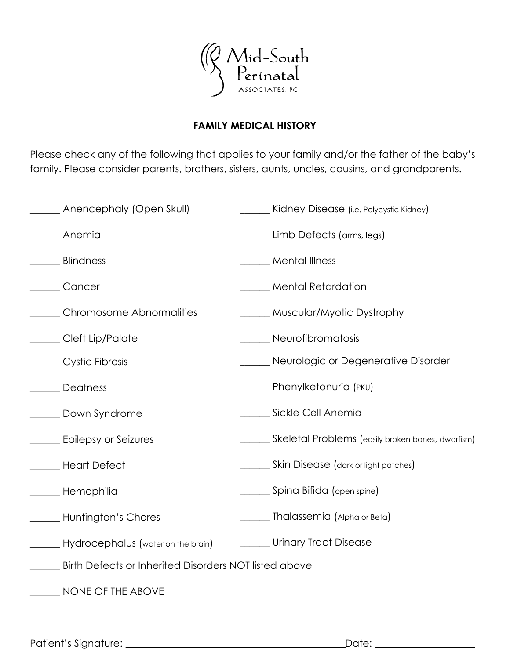

#### **FAMILY MEDICAL HISTORY**

Please check any of the following that applies to your family and/or the father of the baby's family. Please consider parents, brothers, sisters, aunts, uncles, cousins, and grandparents.

| ____ Anencephaly (Open Skull)                         | ____ Kidney Disease (i.e. Polycystic Kidney)      |  |
|-------------------------------------------------------|---------------------------------------------------|--|
| Anemia                                                | Limb Defects (arms, legs)                         |  |
| <b>Blindness</b>                                      | Mental Illness                                    |  |
| Cancer                                                | <b>Mental Retardation</b>                         |  |
| Chromosome Abnormalities                              | ______ Muscular/Myotic Dystrophy                  |  |
| Cleft Lip/Palate                                      | Neurofibromatosis                                 |  |
| Cystic Fibrosis                                       | ____ Neurologic or Degenerative Disorder          |  |
| Deafness                                              | <b>Number</b> Phenylketonuria (PKU)               |  |
| Down Syndrome                                         | Sickle Cell Anemia                                |  |
| Epilepsy or Seizures                                  | Skeletal Problems (easily broken bones, dwarfism) |  |
| Heart Defect                                          | _____ Skin Disease (dark or light patches)        |  |
| ____ Hemophilia                                       | ______ Spina Bifida (open spine)                  |  |
| Huntington's Chores                                   | Thalassemia (Alpha or Beta)                       |  |
| Hydrocephalus (water on the brain)                    | ______ Urinary Tract Disease                      |  |
| Birth Defects or Inherited Disorders NOT listed above |                                                   |  |
| NONE OF THE ABOVE                                     |                                                   |  |

Patient's Signature: \_\_\_\_\_\_\_\_\_\_\_\_\_\_\_\_\_\_\_\_\_\_\_\_\_\_\_\_\_\_\_\_\_\_\_\_\_\_\_\_\_\_\_\_Date: \_\_\_\_\_\_\_\_\_\_\_\_\_\_\_\_\_\_\_\_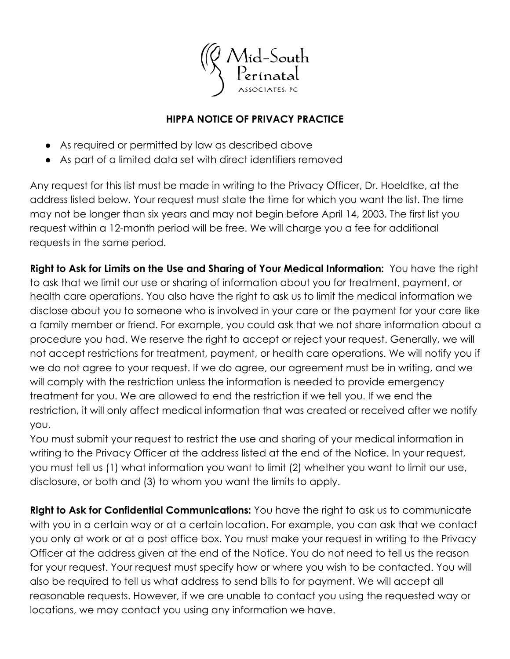

#### **HIPPA NOTICE OF PRIVACY PRACTICE**

- As required or permitted by law as described above
- As part of a limited data set with direct identifiers removed

Any request for this list must be made in writing to the Privacy Officer, Dr. Hoeldtke, at the address listed below. Your request must state the time for which you want the list. The time may not be longer than six years and may not begin before April 14, 2003. The first list you request within a 12-month period will be free. We will charge you a fee for additional requests in the same period.

**Right to Ask for Limits on the Use and Sharing of Your Medical Information:** You have the right to ask that we limit our use or sharing of information about you for treatment, payment, or health care operations. You also have the right to ask us to limit the medical information we disclose about you to someone who is involved in your care or the payment for your care like a family member or friend. For example, you could ask that we not share information about a procedure you had. We reserve the right to accept or reject your request. Generally, we will not accept restrictions for treatment, payment, or health care operations. We will notify you if we do not agree to your request. If we do agree, our agreement must be in writing, and we will comply with the restriction unless the information is needed to provide emergency treatment for you. We are allowed to end the restriction if we tell you. If we end the restriction, it will only affect medical information that was created or received after we notify you.

You must submit your request to restrict the use and sharing of your medical information in writing to the Privacy Officer at the address listed at the end of the Notice. In your request, you must tell us (1) what information you want to limit (2) whether you want to limit our use, disclosure, or both and (3) to whom you want the limits to apply.

**Right to Ask for Confidential Communications:** You have the right to ask us to communicate with you in a certain way or at a certain location. For example, you can ask that we contact you only at work or at a post office box. You must make your request in writing to the Privacy Officer at the address given at the end of the Notice. You do not need to tell us the reason for your request. Your request must specify how or where you wish to be contacted. You will also be required to tell us what address to send bills to for payment. We will accept all reasonable requests. However, if we are unable to contact you using the requested way or locations, we may contact you using any information we have.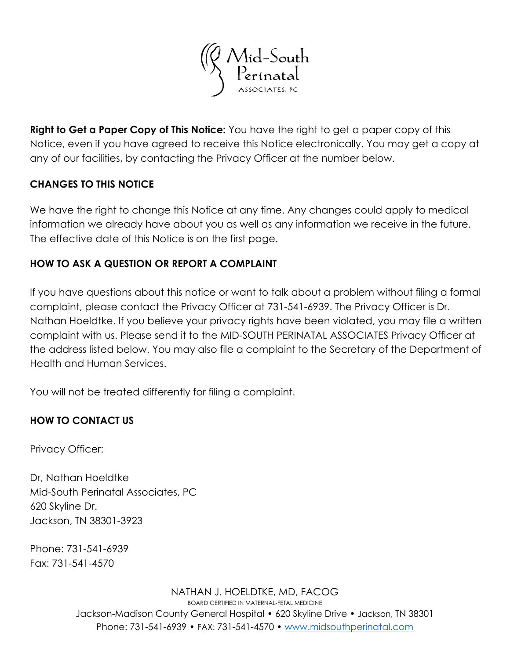

**Right to Get a Paper Copy of This Notice:** You have the right to get a paper copy of this Notice, even if you have agreed to receive this Notice electronically. You may get a copy at any of our facilities, by contacting the Privacy Officer at the number below.

#### **CHANGES TO THIS NOTICE**

We have the right to change this Notice at any time. Any changes could apply to medical information we already have about you as well as any information we receive in the future. The effective date of this Notice is on the first page.

## **HOW TO ASK A QUESTION OR REPORT A COMPLAINT**

If you have questions about this notice or want to talk about a problem without filing a formal complaint, please contact the Privacy Officer at 731-541-6939. The Privacy Officer is Dr. Nathan Hoeldtke. If you believe your privacy rights have been violated, you may file a written complaint with us. Please send it to the MID-SOUTH PERINATAL ASSOCIATES Privacy Officer at the address listed below. You may also file a complaint to the Secretary of the Department of Health and Human Services.

You will not be treated differently for filing a complaint.

## **HOW TO CONTACT US**

Privacy Officer:

Dr, Nathan Hoeldtke Mid-South Perinatal Associates, PC 620 Skyline Dr. Jackson, TN 38301-3923

Phone: 731-541-6939 Fax: 731-541-4570

> NATHAN J. HOELDTKE, MD, FACOG BOARD CERTIFIED IN MATERNAL-FETAL MEDICINE Jackson-Madison County General Hospital • 620 Skyline Drive • Jackson, TN 38301 Phone: 731-541-6939 • FAX: 731-541-4570 • www.midsouthperinatal.com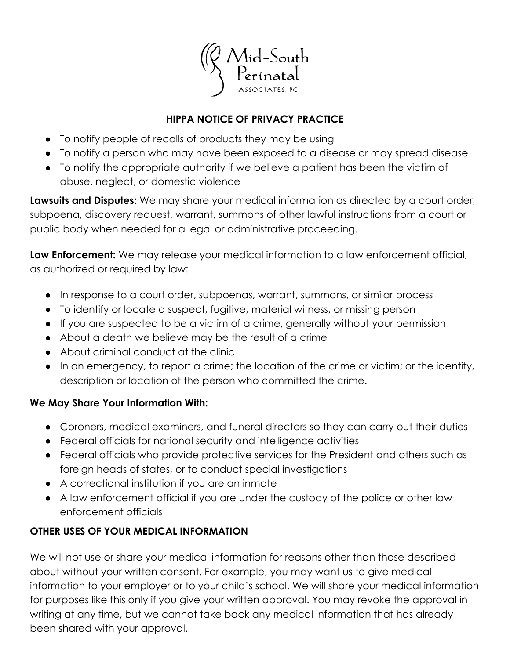

## **HIPPA NOTICE OF PRIVACY PRACTICE**

- To notify people of recalls of products they may be using
- To notify a person who may have been exposed to a disease or may spread disease
- To notify the appropriate authority if we believe a patient has been the victim of abuse, neglect, or domestic violence

**Lawsuits and Disputes:** We may share your medical information as directed by a court order, subpoena, discovery request, warrant, summons of other lawful instructions from a court or public body when needed for a legal or administrative proceeding.

**Law Enforcement:** We may release your medical information to a law enforcement official, as authorized or required by law:

- In response to a court order, subpoenas, warrant, summons, or similar process
- To identify or locate a suspect, fugitive, material witness, or missing person
- If you are suspected to be a victim of a crime, generally without your permission
- About a death we believe may be the result of a crime
- About criminal conduct at the clinic
- In an emergency, to report a crime; the location of the crime or victim; or the identity, description or location of the person who committed the crime.

## **We May Share Your Information With:**

- Coroners, medical examiners, and funeral directors so they can carry out their duties
- Federal officials for national security and intelligence activities
- Federal officials who provide protective services for the President and others such as foreign heads of states, or to conduct special investigations
- A correctional institution if you are an inmate
- A law enforcement official if you are under the custody of the police or other law enforcement officials

# **OTHER USES OF YOUR MEDICAL INFORMATION**

We will not use or share your medical information for reasons other than those described about without your written consent. For example, you may want us to give medical information to your employer or to your child's school. We will share your medical information for purposes like this only if you give your written approval. You may revoke the approval in writing at any time, but we cannot take back any medical information that has already been shared with your approval.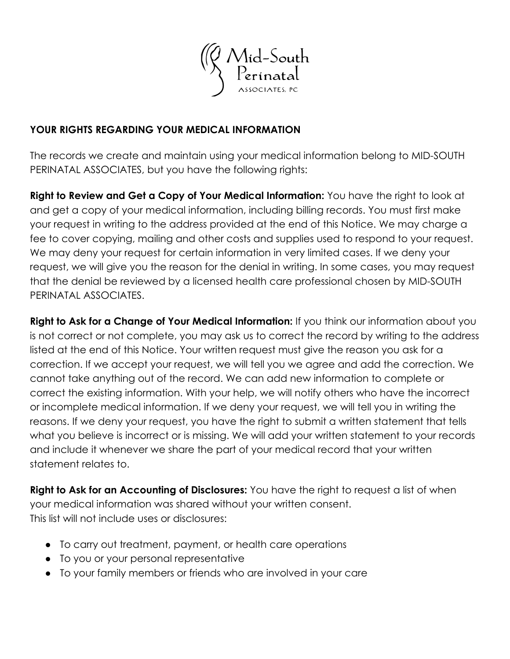

#### **YOUR RIGHTS REGARDING YOUR MEDICAL INFORMATION**

The records we create and maintain using your medical information belong to MID-SOUTH PERINATAL ASSOCIATES, but you have the following rights:

**Right to Review and Get a Copy of Your Medical Information:** You have the right to look at and get a copy of your medical information, including billing records. You must first make your request in writing to the address provided at the end of this Notice. We may charge a fee to cover copying, mailing and other costs and supplies used to respond to your request. We may deny your request for certain information in very limited cases. If we deny your request, we will give you the reason for the denial in writing. In some cases, you may request that the denial be reviewed by a licensed health care professional chosen by MID-SOUTH PERINATAL ASSOCIATES.

**Right to Ask for a Change of Your Medical Information:** If you think our information about you is not correct or not complete, you may ask us to correct the record by writing to the address listed at the end of this Notice. Your written request must give the reason you ask for a correction. If we accept your request, we will tell you we agree and add the correction. We cannot take anything out of the record. We can add new information to complete or correct the existing information. With your help, we will notify others who have the incorrect or incomplete medical information. If we deny your request, we will tell you in writing the reasons. If we deny your request, you have the right to submit a written statement that tells what you believe is incorrect or is missing. We will add your written statement to your records and include it whenever we share the part of your medical record that your written statement relates to.

**Right to Ask for an Accounting of Disclosures:** You have the right to request a list of when your medical information was shared without your written consent. This list will not include uses or disclosures:

- To carry out treatment, payment, or health care operations
- To you or your personal representative
- To your family members or friends who are involved in your care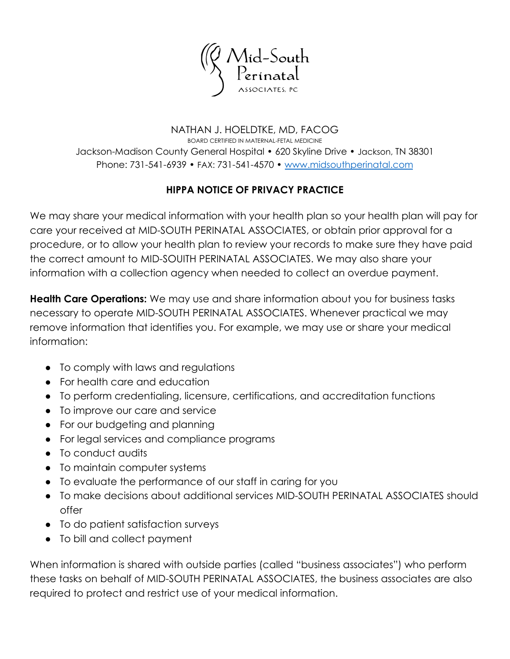

NATHAN J. HOELDTKE, MD, FACOG BOARD CERTIFIED IN MATERNAL-FETAL MEDICINE Jackson-Madison County General Hospital • 620 Skyline Drive • Jackson, TN 38301 Phone: 731-541-6939 • FAX: 731-541-4570 • [www.midsouthperinatal.com](http://www.midsouthperinatal.com)

## **HIPPA NOTICE OF PRIVACY PRACTICE**

We may share your medical information with your health plan so your health plan will pay for care your received at MID-SOUTH PERINATAL ASSOCIATES, or obtain prior approval for a procedure, or to allow your health plan to review your records to make sure they have paid the correct amount to MID-SOUITH PERINATAL ASSOCIATES. We may also share your information with a collection agency when needed to collect an overdue payment.

**Health Care Operations:** We may use and share information about you for business tasks necessary to operate MID-SOUTH PERINATAL ASSOCIATES. Whenever practical we may remove information that identifies you. For example, we may use or share your medical information:

- To comply with laws and regulations
- For health care and education
- To perform credentialing, licensure, certifications, and accreditation functions
- To improve our care and service
- For our budgeting and planning
- For legal services and compliance programs
- To conduct audits
- To maintain computer systems
- To evaluate the performance of our staff in caring for you
- To make decisions about additional services MID-SOUTH PERINATAL ASSOCIATES should offer
- To do patient satisfaction surveys
- To bill and collect payment

When information is shared with outside parties (called "business associates") who perform these tasks on behalf of MID-SOUTH PERINATAL ASSOCIATES, the business associates are also required to protect and restrict use of your medical information.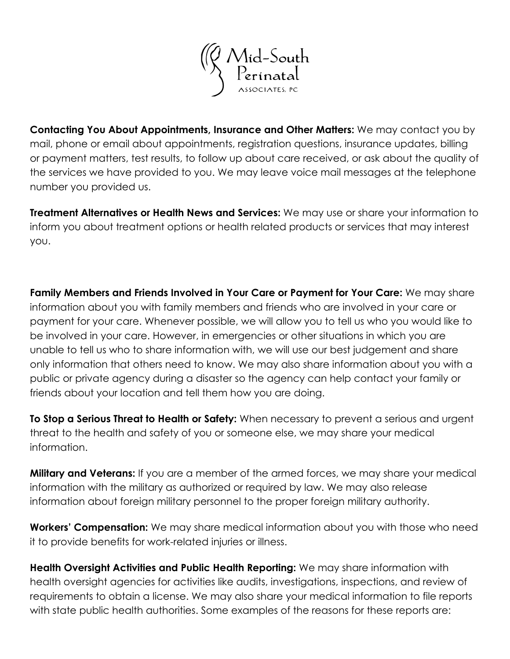

**Contacting You About Appointments, Insurance and Other Matters:** We may contact you by mail, phone or email about appointments, registration questions, insurance updates, billing or payment matters, test results, to follow up about care received, or ask about the quality of the services we have provided to you. We may leave voice mail messages at the telephone number you provided us.

**Treatment Alternatives or Health News and Services:** We may use or share your information to inform you about treatment options or health related products or services that may interest you.

**Family Members and Friends Involved in Your Care or Payment for Your Care:** We may share information about you with family members and friends who are involved in your care or payment for your care. Whenever possible, we will allow you to tell us who you would like to be involved in your care. However, in emergencies or other situations in which you are unable to tell us who to share information with, we will use our best judgement and share only information that others need to know. We may also share information about you with a public or private agency during a disaster so the agency can help contact your family or friends about your location and tell them how you are doing.

**To Stop a Serious Threat to Health or Safety:** When necessary to prevent a serious and urgent threat to the health and safety of you or someone else, we may share your medical information.

**Military and Veterans:** If you are a member of the armed forces, we may share your medical information with the military as authorized or required by law. We may also release information about foreign military personnel to the proper foreign military authority.

**Workers' Compensation:** We may share medical information about you with those who need it to provide benefits for work-related injuries or illness.

**Health Oversight Activities and Public Health Reporting:** We may share information with health oversight agencies for activities like audits, investigations, inspections, and review of requirements to obtain a license. We may also share your medical information to file reports with state public health authorities. Some examples of the reasons for these reports are: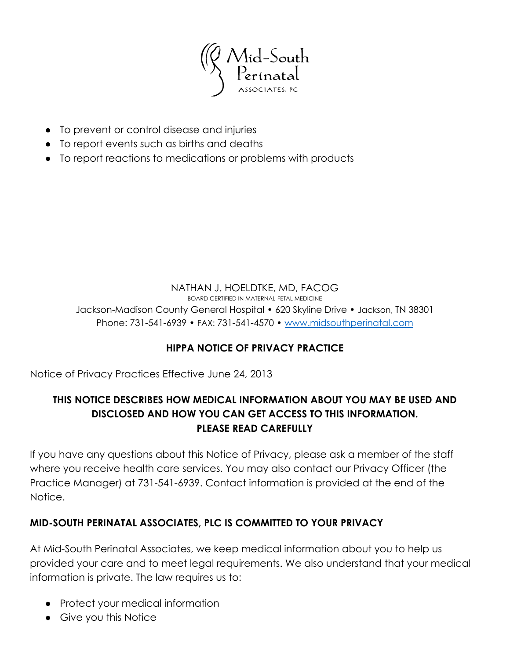

- To prevent or control disease and injuries
- To report events such as births and deaths
- To report reactions to medications or problems with products

#### NATHAN J. HOELDTKE, MD, FACOG BOARD CERTIFIED IN MATERNAL-FETAL MEDICINE Jackson-Madison County General Hospital • 620 Skyline Drive • Jackson, TN 38301 Phone: 731-541-6939 • FAX: 731-541-4570 • [www.midsouthperinatal.com](http://www.midsouthperinatal.com)

## **HIPPA NOTICE OF PRIVACY PRACTICE**

Notice of Privacy Practices Effective June 24, 2013

## **THIS NOTICE DESCRIBES HOW MEDICAL INFORMATION ABOUT YOU MAY BE USED AND DISCLOSED AND HOW YOU CAN GET ACCESS TO THIS INFORMATION. PLEASE READ CAREFULLY**

If you have any questions about this Notice of Privacy, please ask a member of the staff where you receive health care services. You may also contact our Privacy Officer (the Practice Manager) at 731-541-6939. Contact information is provided at the end of the Notice.

## **MID-SOUTH PERINATAL ASSOCIATES, PLC IS COMMITTED TO YOUR PRIVACY**

At Mid-South Perinatal Associates, we keep medical information about you to help us provided your care and to meet legal requirements. We also understand that your medical information is private. The law requires us to:

- Protect your medical information
- Give you this Notice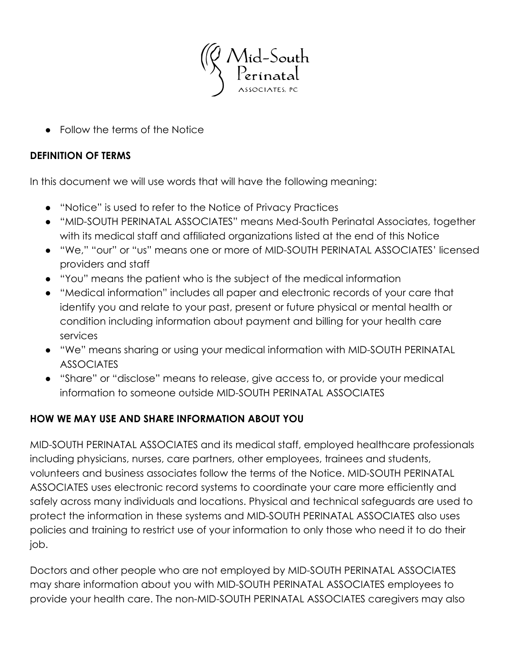

● Follow the terms of the Notice

#### **DEFINITION OF TERMS**

In this document we will use words that will have the following meaning:

- "Notice" is used to refer to the Notice of Privacy Practices
- "MID-SOUTH PERINATAL ASSOCIATES" means Med-South Perinatal Associates, together with its medical staff and affiliated organizations listed at the end of this Notice
- "We," "our" or "us" means one or more of MID-SOUTH PERINATAL ASSOCIATES' licensed providers and staff
- "You" means the patient who is the subject of the medical information
- "Medical information" includes all paper and electronic records of your care that identify you and relate to your past, present or future physical or mental health or condition including information about payment and billing for your health care services
- "We" means sharing or using your medical information with MID-SOUTH PERINATAL ASSOCIATES
- "Share" or "disclose" means to release, give access to, or provide your medical information to someone outside MID-SOUTH PERINATAL ASSOCIATES

# **HOW WE MAY USE AND SHARE INFORMATION ABOUT YOU**

MID-SOUTH PERINATAL ASSOCIATES and its medical staff, employed healthcare professionals including physicians, nurses, care partners, other employees, trainees and students, volunteers and business associates follow the terms of the Notice. MID-SOUTH PERINATAL ASSOCIATES uses electronic record systems to coordinate your care more efficiently and safely across many individuals and locations. Physical and technical safeguards are used to protect the information in these systems and MID-SOUTH PERINATAL ASSOCIATES also uses policies and training to restrict use of your information to only those who need it to do their job.

Doctors and other people who are not employed by MID-SOUTH PERINATAL ASSOCIATES may share information about you with MID-SOUTH PERINATAL ASSOCIATES employees to provide your health care. The non-MID-SOUTH PERINATAL ASSOCIATES caregivers may also